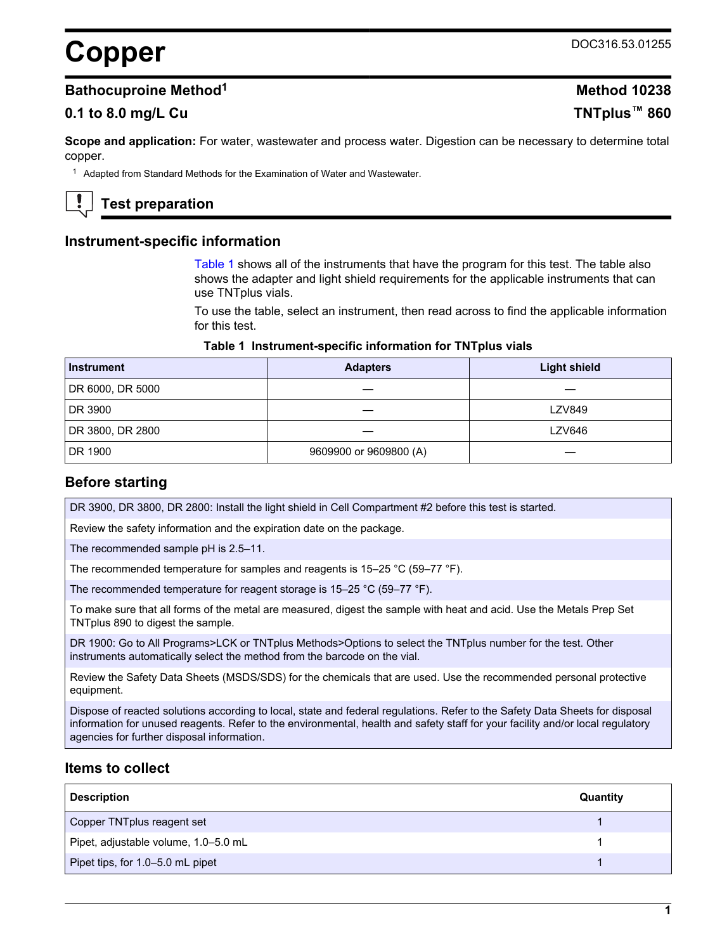# **Copper** DOC316.53.01255

## **Bathocuproine Method<sup>1</sup> <b>Method** 10238

# **0.1 to 8.0 mg/L Cu TNTplus™ 860**

**Scope and application:** For water, wastewater and process water. Digestion can be necessary to determine total copper.

<sup>1</sup> Adapted from Standard Methods for the Examination of Water and Wastewater.

# **Test preparation**

## **Instrument-specific information**

[Table 1](#page-0-0) shows all of the instruments that have the program for this test. The table also shows the adapter and light shield requirements for the applicable instruments that can use TNTplus vials.

To use the table, select an instrument, then read across to find the applicable information for this test.

#### **Table 1 Instrument-specific information for TNTplus vials**

<span id="page-0-1"></span><span id="page-0-0"></span>

| <b>Instrument</b> | <b>Adapters</b>        | <b>Light shield</b> |
|-------------------|------------------------|---------------------|
| DR 6000, DR 5000  |                        |                     |
| DR 3900           |                        | <b>LZV849</b>       |
| DR 3800, DR 2800  |                        | <b>LZV646</b>       |
| DR 1900           | 9609900 or 9609800 (A) |                     |

## **Before starting**

DR 3900, DR 3800, DR 2800: Install the light shield in Cell Compartment #2 before this test is started.

Review the safety information and the expiration date on the package.

The recommended sample pH is 2.5–11.

The recommended temperature for samples and reagents is 15–25 °C (59–77 °F).

The recommended temperature for reagent storage is 15–25 °C (59–77 °F).

To make sure that all forms of the metal are measured, digest the sample with heat and acid. Use the Metals Prep Set TNTplus 890 to digest the sample.

DR 1900: Go to All Programs>LCK or TNTplus Methods>Options to select the TNTplus number for the test. Other instruments automatically select the method from the barcode on the vial.

Review the Safety Data Sheets (MSDS/SDS) for the chemicals that are used. Use the recommended personal protective equipment.

Dispose of reacted solutions according to local, state and federal regulations. Refer to the Safety Data Sheets for disposal information for unused reagents. Refer to the environmental, health and safety staff for your facility and/or local regulatory agencies for further disposal information.

## **Items to collect**

| <b>Description</b>                   | Quantity |
|--------------------------------------|----------|
| Copper TNTplus reagent set           |          |
| Pipet, adjustable volume, 1.0–5.0 mL |          |
| Pipet tips, for 1.0-5.0 mL pipet     |          |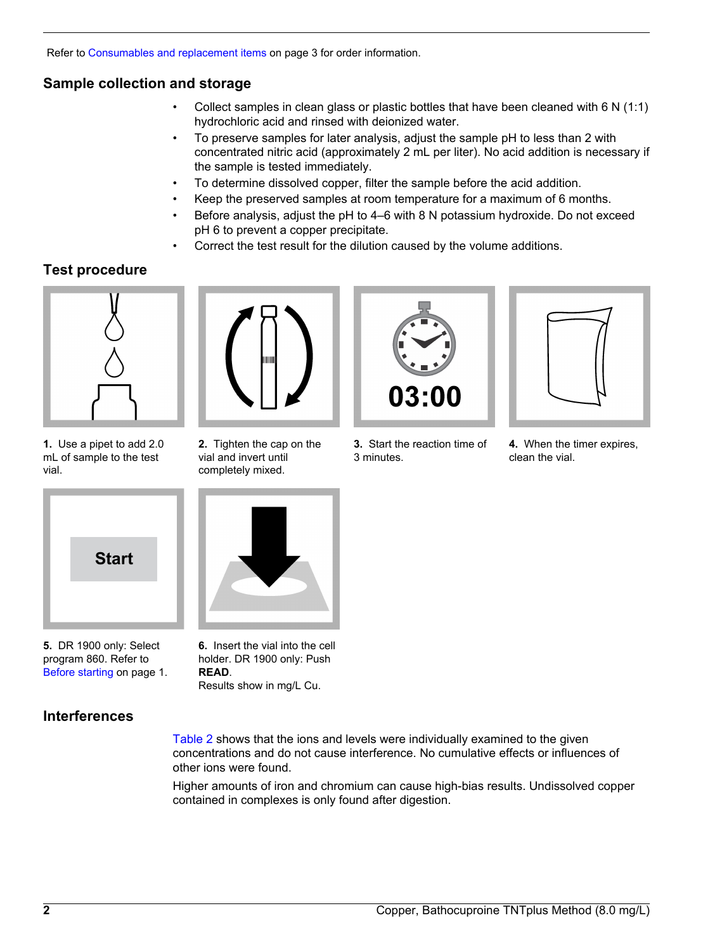Refer to [Consumables and replacement items](#page-2-0) on page 3 for order information.

# **Sample collection and storage**

- Collect samples in clean glass or plastic bottles that have been cleaned with 6 N (1:1) hydrochloric acid and rinsed with deionized water.
- To preserve samples for later analysis, adjust the sample pH to less than 2 with concentrated nitric acid (approximately 2 mL per liter). No acid addition is necessary if the sample is tested immediately.
- To determine dissolved copper, filter the sample before the acid addition.
- Keep the preserved samples at room temperature for a maximum of 6 months.
- Before analysis, adjust the pH to 4–6 with 8 N potassium hydroxide. Do not exceed pH 6 to prevent a copper precipitate.
- Correct the test result for the dilution caused by the volume additions.

# **Test procedure**



03:00



**1.** Use a pipet to add 2.0 mL of sample to the test vial.



**5.** DR 1900 only: Select program 860. Refer to [Before starting](#page-0-1) on page 1.

**2.** Tighten the cap on the vial and invert until completely mixed.



**3.** Start the reaction time of 3 minutes.

**4.** When the timer expires, clean the vial.



**6.** Insert the vial into the cell holder. DR 1900 only: Push **READ**. Results show in mg/L Cu.

**Interferences**

[Table 2](#page-2-1) shows that the ions and levels were individually examined to the given concentrations and do not cause interference. No cumulative effects or influences of other ions were found.

Higher amounts of iron and chromium can cause high-bias results. Undissolved copper contained in complexes is only found after digestion.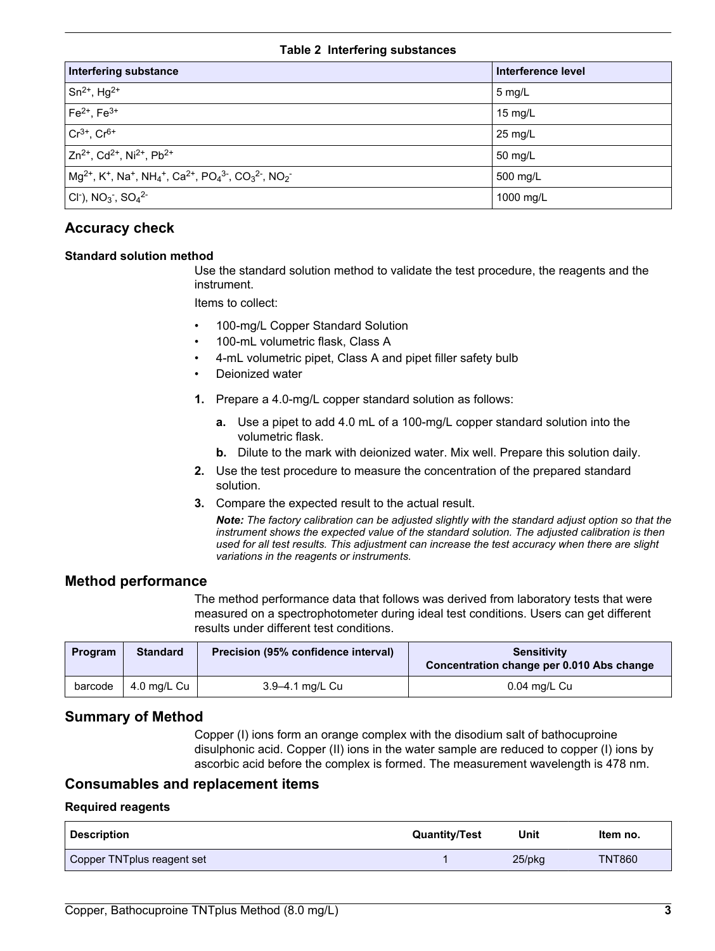#### **Table 2 Interfering substances**

<span id="page-2-1"></span>

| <b>Interfering substance</b>                                                                                                                                                                  | Interference level |
|-----------------------------------------------------------------------------------------------------------------------------------------------------------------------------------------------|--------------------|
| $Sn^{2+}$ , Hg <sup>2+</sup>                                                                                                                                                                  | 5 mg/L             |
| $Fe2+, Fe3+$                                                                                                                                                                                  | $15$ mg/L          |
| $Cr^{3+}$ . $Cr^{6+}$                                                                                                                                                                         | 25 mg/L            |
| $Zn^{2+}$ , Cd <sup>2+</sup> , Ni <sup>2+</sup> , Pb <sup>2+</sup>                                                                                                                            | 50 mg/L            |
| $Mg^{2+}$ , K <sup>+</sup> , Na <sup>+</sup> , NH <sub>4</sub> <sup>+</sup> , Ca <sup>2+</sup> , PO <sub>4</sub> <sup>3-</sup> , CO <sub>3</sub> <sup>2-</sup> , NO <sub>2</sub> <sup>-</sup> | 500 mg/L           |
| Cl <sup>-</sup> ), $NO_3^-$ , $SO_4^2$ -                                                                                                                                                      | 1000 mg/L          |

# **Accuracy check**

## **Standard solution method**

Use the standard solution method to validate the test procedure, the reagents and the instrument.

Items to collect:

- 100-mg/L Copper Standard Solution
- 100-mL volumetric flask, Class A
- 4-mL volumetric pipet, Class A and pipet filler safety bulb
- Deionized water
- **1.** Prepare a 4.0-mg/L copper standard solution as follows:
	- **a.** Use a pipet to add 4.0 mL of a 100-mg/L copper standard solution into the volumetric flask.
	- **b.** Dilute to the mark with deionized water. Mix well. Prepare this solution daily.
- **2.** Use the test procedure to measure the concentration of the prepared standard solution.
- **3.** Compare the expected result to the actual result.

*Note: The factory calibration can be adjusted slightly with the standard adjust option so that the instrument shows the expected value of the standard solution. The adjusted calibration is then used for all test results. This adjustment can increase the test accuracy when there are slight variations in the reagents or instruments.*

#### **Method performance**

The method performance data that follows was derived from laboratory tests that were measured on a spectrophotometer during ideal test conditions. Users can get different results under different test conditions.

| Program | <b>Standard</b> | Precision (95% confidence interval) | <b>Sensitivity</b><br>Concentration change per 0.010 Abs change |
|---------|-----------------|-------------------------------------|-----------------------------------------------------------------|
| barcode | 4.0 mg/L Cu     | 3.9–4.1 mg/L Cu                     | $0.04$ mg/L Cu                                                  |

## **Summary of Method**

Copper (I) ions form an orange complex with the disodium salt of bathocuproine disulphonic acid. Copper (II) ions in the water sample are reduced to copper (I) ions by ascorbic acid before the complex is formed. The measurement wavelength is 478 nm.

#### **Consumables and replacement items**

#### **Required reagents**

<span id="page-2-0"></span>

| <b>Description</b>         | <b>Quantity/Test</b> | Unit   | Item no.      |
|----------------------------|----------------------|--------|---------------|
| Copper TNTplus reagent set |                      | 25/pkg | <b>TNT860</b> |